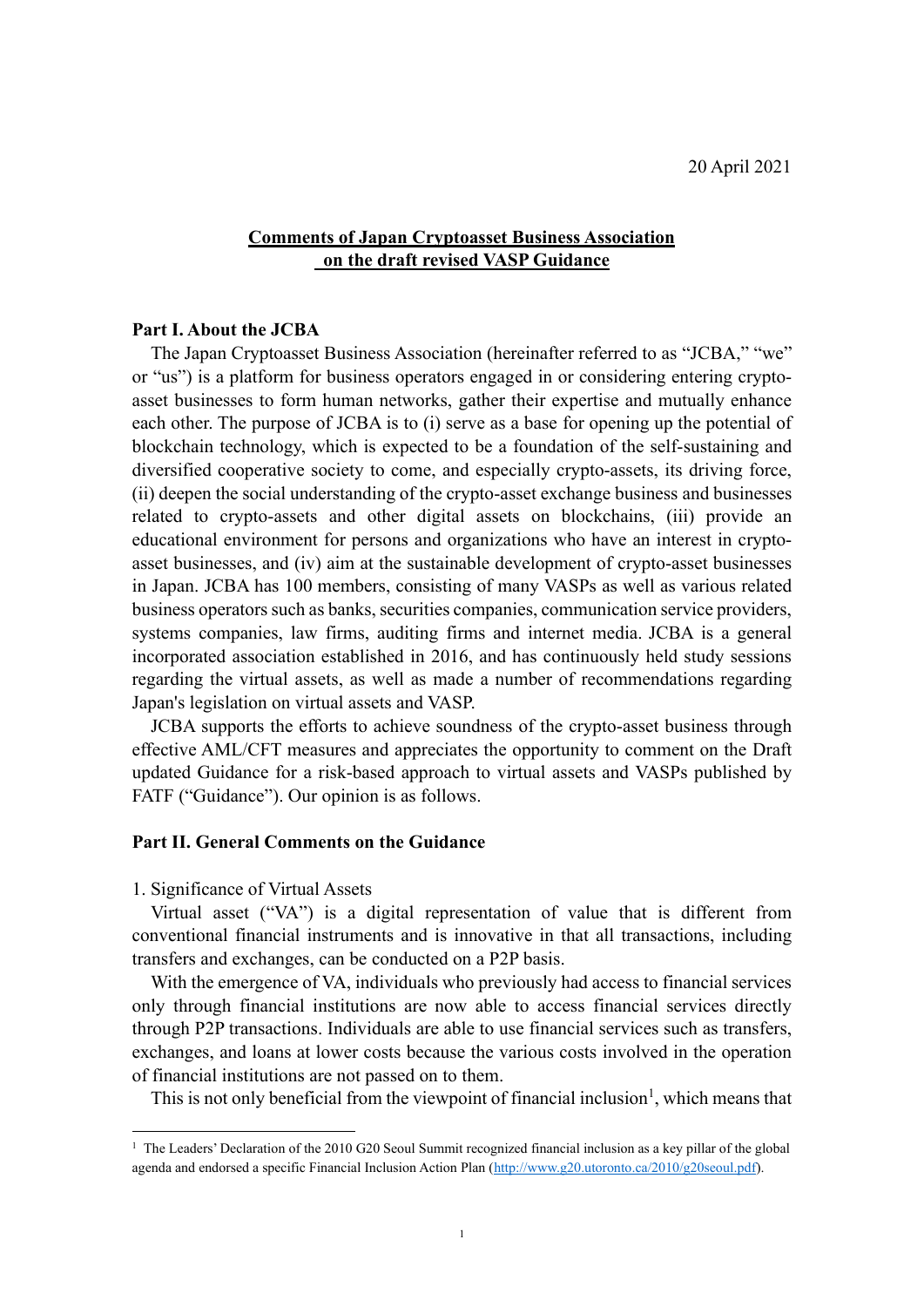# **Comments of Japan Cryptoasset Business Association on the draft revised VASP Guidance**

# **Part I. About the JCBA**

The Japan Cryptoasset Business Association (hereinafter referred to as "JCBA," "we" or "us") is a platform for business operators engaged in or considering entering cryptoasset businesses to form human networks, gather their expertise and mutually enhance each other. The purpose of JCBA is to (i) serve as a base for opening up the potential of blockchain technology, which is expected to be a foundation of the self-sustaining and diversified cooperative society to come, and especially crypto-assets, its driving force, (ii) deepen the social understanding of the crypto-asset exchange business and businesses related to crypto-assets and other digital assets on blockchains, (iii) provide an educational environment for persons and organizations who have an interest in cryptoasset businesses, and (iv) aim at the sustainable development of crypto-asset businesses in Japan. JCBA has 100 members, consisting of many VASPs as well as various related business operators such as banks, securities companies, communication service providers, systems companies, law firms, auditing firms and internet media. JCBA is a general incorporated association established in 2016, and has continuously held study sessions regarding the virtual assets, as well as made a number of recommendations regarding Japan's legislation on virtual assets and VASP.

JCBA supports the efforts to achieve soundness of the crypto-asset business through effective AML/CFT measures and appreciates the opportunity to comment on the Draft updated Guidance for a risk-based approach to virtual assets and VASPs published by FATF ("Guidance"). Our opinion is as follows.

# **Part II. General Comments on the Guidance**

### 1. Significance of Virtual Assets

Virtual asset ("VA") is a digital representation of value that is different from conventional financial instruments and is innovative in that all transactions, including transfers and exchanges, can be conducted on a P2P basis.

With the emergence of VA, individuals who previously had access to financial services only through financial institutions are now able to access financial services directly through P2P transactions. Individuals are able to use financial services such as transfers, exchanges, and loans at lower costs because the various costs involved in the operation of financial institutions are not passed on to them.

This is not only beneficial from the viewpoint of financial inclusion<sup>1</sup>, which means that

<sup>&</sup>lt;sup>1</sup> The Leaders' Declaration of the 2010 G20 Seoul Summit recognized financial inclusion as a key pillar of the global agenda and endorsed a specific Financial Inclusion Action Plan [\(http://www.g20.utoronto.ca/2010/g20seoul.pdf\)](http://www.g20.utoronto.ca/2010/g20seoul.pdf).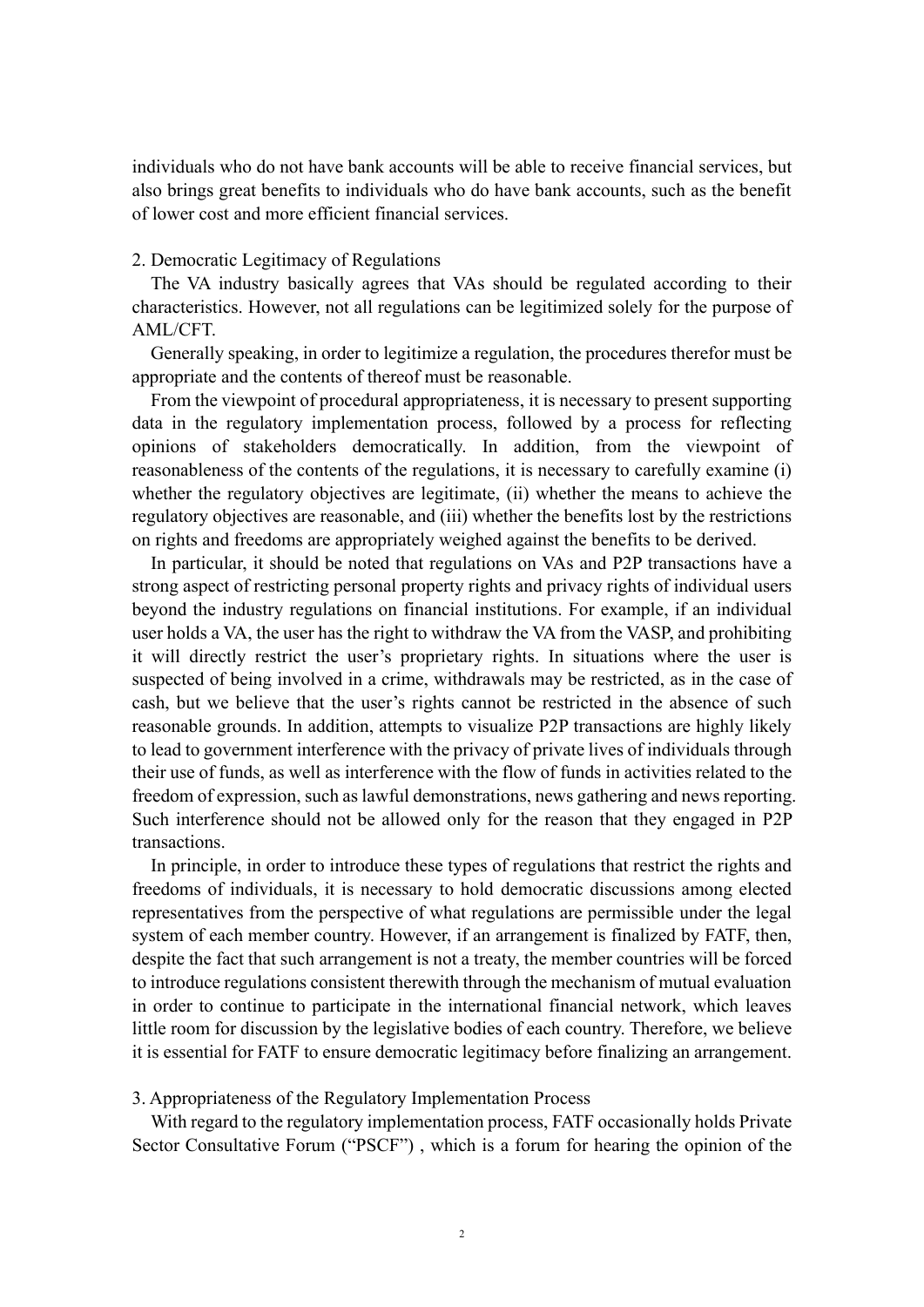individuals who do not have bank accounts will be able to receive financial services, but also brings great benefits to individuals who do have bank accounts, such as the benefit of lower cost and more efficient financial services.

#### 2. Democratic Legitimacy of Regulations

The VA industry basically agrees that VAs should be regulated according to their characteristics. However, not all regulations can be legitimized solely for the purpose of AML/CFT.

Generally speaking, in order to legitimize a regulation, the procedures therefor must be appropriate and the contents of thereof must be reasonable.

From the viewpoint of procedural appropriateness, it is necessary to present supporting data in the regulatory implementation process, followed by a process for reflecting opinions of stakeholders democratically. In addition, from the viewpoint of reasonableness of the contents of the regulations, it is necessary to carefully examine (i) whether the regulatory objectives are legitimate, (ii) whether the means to achieve the regulatory objectives are reasonable, and (iii) whether the benefits lost by the restrictions on rights and freedoms are appropriately weighed against the benefits to be derived.

In particular, it should be noted that regulations on VAs and P2P transactions have a strong aspect of restricting personal property rights and privacy rights of individual users beyond the industry regulations on financial institutions. For example, if an individual user holds a VA, the user has the right to withdraw the VA from the VASP, and prohibiting it will directly restrict the user's proprietary rights. In situations where the user is suspected of being involved in a crime, withdrawals may be restricted, as in the case of cash, but we believe that the user's rights cannot be restricted in the absence of such reasonable grounds. In addition, attempts to visualize P2P transactions are highly likely to lead to government interference with the privacy of private lives of individuals through their use of funds, as well as interference with the flow of funds in activities related to the freedom of expression, such as lawful demonstrations, news gathering and news reporting. Such interference should not be allowed only for the reason that they engaged in P2P transactions.

In principle, in order to introduce these types of regulations that restrict the rights and freedoms of individuals, it is necessary to hold democratic discussions among elected representatives from the perspective of what regulations are permissible under the legal system of each member country. However, if an arrangement is finalized by FATF, then, despite the fact that such arrangement is not a treaty, the member countries will be forced to introduce regulations consistent therewith through the mechanism of mutual evaluation in order to continue to participate in the international financial network, which leaves little room for discussion by the legislative bodies of each country. Therefore, we believe it is essential for FATF to ensure democratic legitimacy before finalizing an arrangement.

### 3. Appropriateness of the Regulatory Implementation Process

With regard to the regulatory implementation process, FATF occasionally holds Private Sector Consultative Forum ("PSCF") , which is a forum for hearing the opinion of the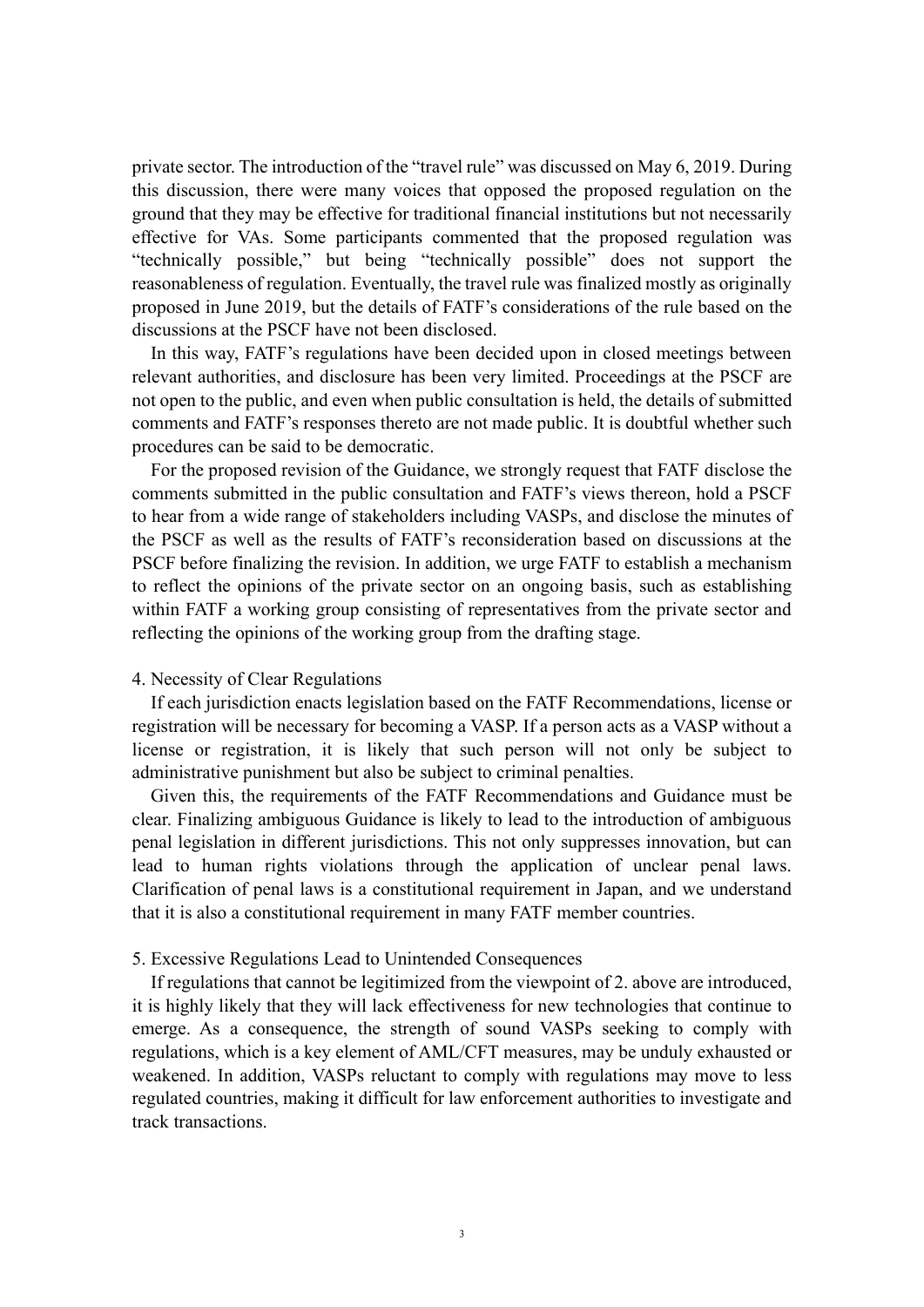private sector. The introduction of the "travel rule" was discussed on May 6, 2019. During this discussion, there were many voices that opposed the proposed regulation on the ground that they may be effective for traditional financial institutions but not necessarily effective for VAs. Some participants commented that the proposed regulation was "technically possible," but being "technically possible" does not support the reasonableness of regulation. Eventually, the travel rule was finalized mostly as originally proposed in June 2019, but the details of FATF's considerations of the rule based on the discussions at the PSCF have not been disclosed.

In this way, FATF's regulations have been decided upon in closed meetings between relevant authorities, and disclosure has been very limited. Proceedings at the PSCF are not open to the public, and even when public consultation is held, the details of submitted comments and FATF's responses thereto are not made public. It is doubtful whether such procedures can be said to be democratic.

For the proposed revision of the Guidance, we strongly request that FATF disclose the comments submitted in the public consultation and FATF's views thereon, hold a PSCF to hear from a wide range of stakeholders including VASPs, and disclose the minutes of the PSCF as well as the results of FATF's reconsideration based on discussions at the PSCF before finalizing the revision. In addition, we urge FATF to establish a mechanism to reflect the opinions of the private sector on an ongoing basis, such as establishing within FATF a working group consisting of representatives from the private sector and reflecting the opinions of the working group from the drafting stage.

## 4. Necessity of Clear Regulations

If each jurisdiction enacts legislation based on the FATF Recommendations, license or registration will be necessary for becoming a VASP. If a person acts as a VASP without a license or registration, it is likely that such person will not only be subject to administrative punishment but also be subject to criminal penalties.

Given this, the requirements of the FATF Recommendations and Guidance must be clear. Finalizing ambiguous Guidance is likely to lead to the introduction of ambiguous penal legislation in different jurisdictions. This not only suppresses innovation, but can lead to human rights violations through the application of unclear penal laws. Clarification of penal laws is a constitutional requirement in Japan, and we understand that it is also a constitutional requirement in many FATF member countries.

### 5. Excessive Regulations Lead to Unintended Consequences

If regulations that cannot be legitimized from the viewpoint of 2. above are introduced, it is highly likely that they will lack effectiveness for new technologies that continue to emerge. As a consequence, the strength of sound VASPs seeking to comply with regulations, which is a key element of AML/CFT measures, may be unduly exhausted or weakened. In addition, VASPs reluctant to comply with regulations may move to less regulated countries, making it difficult for law enforcement authorities to investigate and track transactions.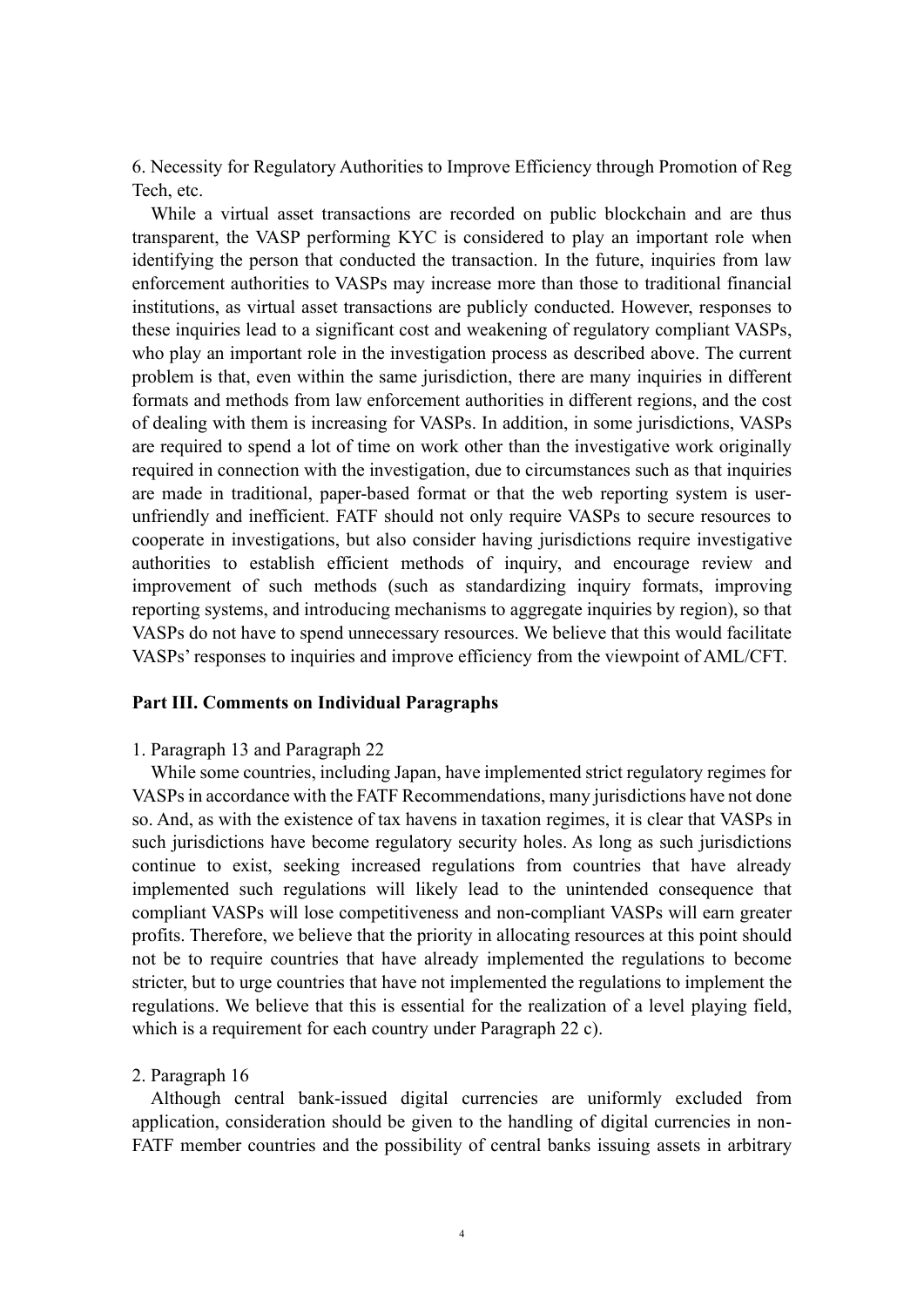6. Necessity for Regulatory Authorities to Improve Efficiency through Promotion of Reg Tech, etc.

While a virtual asset transactions are recorded on public blockchain and are thus transparent, the VASP performing KYC is considered to play an important role when identifying the person that conducted the transaction. In the future, inquiries from law enforcement authorities to VASPs may increase more than those to traditional financial institutions, as virtual asset transactions are publicly conducted. However, responses to these inquiries lead to a significant cost and weakening of regulatory compliant VASPs, who play an important role in the investigation process as described above. The current problem is that, even within the same jurisdiction, there are many inquiries in different formats and methods from law enforcement authorities in different regions, and the cost of dealing with them is increasing for VASPs. In addition, in some jurisdictions, VASPs are required to spend a lot of time on work other than the investigative work originally required in connection with the investigation, due to circumstances such as that inquiries are made in traditional, paper-based format or that the web reporting system is userunfriendly and inefficient. FATF should not only require VASPs to secure resources to cooperate in investigations, but also consider having jurisdictions require investigative authorities to establish efficient methods of inquiry, and encourage review and improvement of such methods (such as standardizing inquiry formats, improving reporting systems, and introducing mechanisms to aggregate inquiries by region), so that VASPs do not have to spend unnecessary resources. We believe that this would facilitate VASPs' responses to inquiries and improve efficiency from the viewpoint of AML/CFT.

# **Part III. Comments on Individual Paragraphs**

#### 1. Paragraph 13 and Paragraph 22

While some countries, including Japan, have implemented strict regulatory regimes for VASPsin accordance with the FATF Recommendations, many jurisdictions have not done so. And, as with the existence of tax havens in taxation regimes, it is clear that VASPs in such jurisdictions have become regulatory security holes. As long as such jurisdictions continue to exist, seeking increased regulations from countries that have already implemented such regulations will likely lead to the unintended consequence that compliant VASPs will lose competitiveness and non-compliant VASPs will earn greater profits. Therefore, we believe that the priority in allocating resources at this point should not be to require countries that have already implemented the regulations to become stricter, but to urge countries that have not implemented the regulations to implement the regulations. We believe that this is essential for the realization of a level playing field, which is a requirement for each country under Paragraph 22 c).

#### 2. Paragraph 16

Although central bank-issued digital currencies are uniformly excluded from application, consideration should be given to the handling of digital currencies in non-FATF member countries and the possibility of central banks issuing assets in arbitrary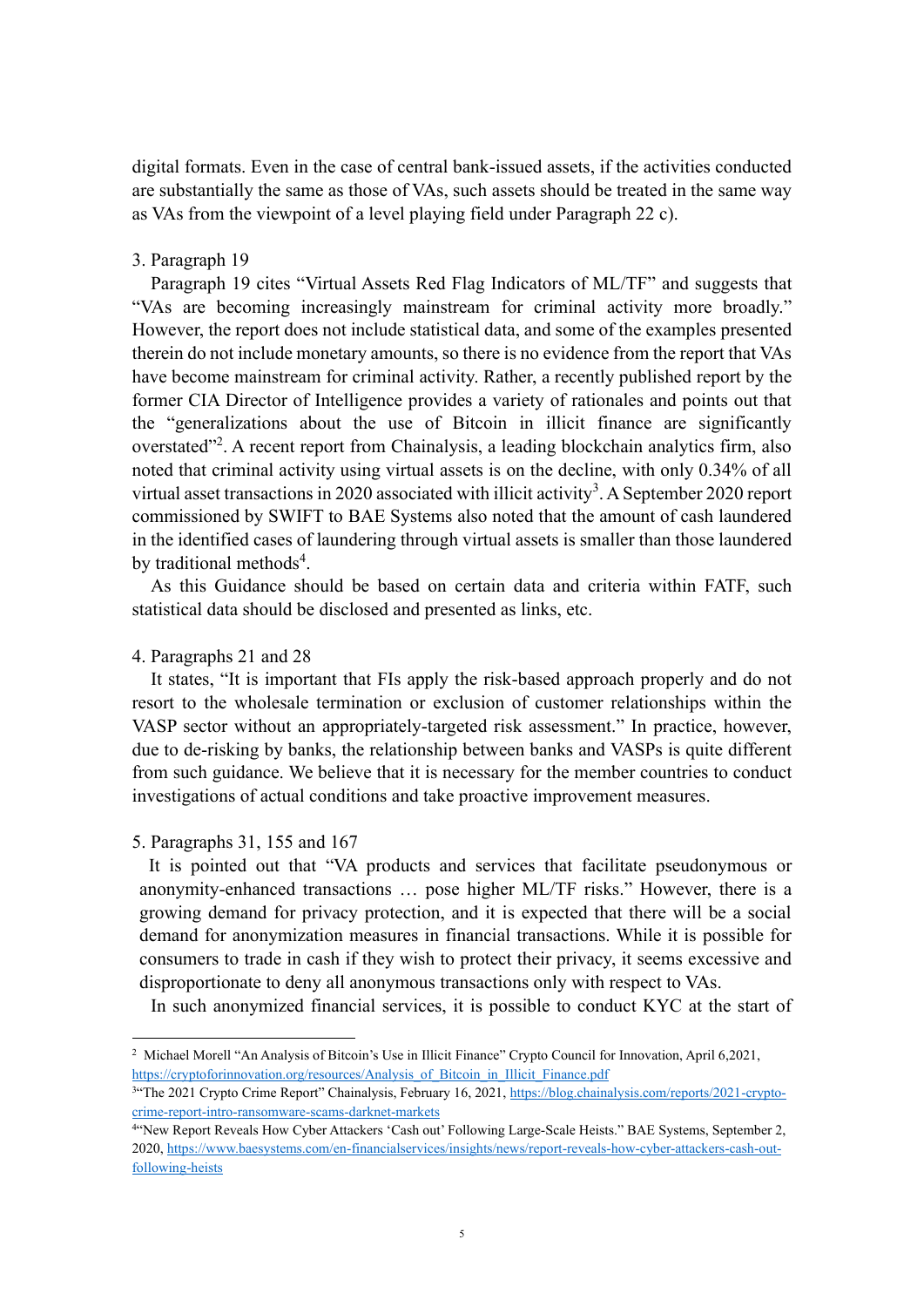digital formats. Even in the case of central bank-issued assets, if the activities conducted are substantially the same as those of VAs, such assets should be treated in the same way as VAs from the viewpoint of a level playing field under Paragraph 22 c).

### 3. Paragraph 19

Paragraph 19 cites "Virtual Assets Red Flag Indicators of ML/TF" and suggests that "VAs are becoming increasingly mainstream for criminal activity more broadly." However, the report does not include statistical data, and some of the examples presented therein do not include monetary amounts, so there is no evidence from the report that VAs have become mainstream for criminal activity. Rather, a recently published report by the former CIA Director of Intelligence provides a variety of rationales and points out that the "generalizations about the use of Bitcoin in illicit finance are significantly overstated"<sup>2</sup>. A recent report from Chainalysis, a leading blockchain analytics firm, also noted that criminal activity using virtual assets is on the decline, with only 0.34% of all virtual asset transactions in 2020 associated with illicit activity<sup>3</sup>. A September 2020 report commissioned by SWIFT to BAE Systems also noted that the amount of cash laundered in the identified cases of laundering through virtual assets is smaller than those laundered by traditional methods<sup>4</sup>.

As this Guidance should be based on certain data and criteria within FATF, such statistical data should be disclosed and presented as links, etc.

### 4. Paragraphs 21 and 28

It states, "It is important that FIs apply the risk-based approach properly and do not resort to the wholesale termination or exclusion of customer relationships within the VASP sector without an appropriately-targeted risk assessment." In practice, however, due to de-risking by banks, the relationship between banks and VASPs is quite different from such guidance. We believe that it is necessary for the member countries to conduct investigations of actual conditions and take proactive improvement measures.

### 5. Paragraphs 31, 155 and 167

It is pointed out that "VA products and services that facilitate pseudonymous or anonymity-enhanced transactions … pose higher ML/TF risks." However, there is a growing demand for privacy protection, and it is expected that there will be a social demand for anonymization measures in financial transactions. While it is possible for consumers to trade in cash if they wish to protect their privacy, it seems excessive and disproportionate to deny all anonymous transactions only with respect to VAs.

In such anonymized financial services, it is possible to conduct KYC at the start of

<sup>2</sup> Michael Morell "An Analysis of Bitcoin's Use in Illicit Finance" Crypto Council for Innovation, April 6,2021, [https://cryptoforinnovation.org/resources/Analysis\\_of\\_Bitcoin\\_in\\_Illicit\\_Finance.pdf](https://cryptoforinnovation.org/resources/Analysis_of_Bitcoin_in_Illicit_Finance.pdf)

<sup>&</sup>lt;sup>3</sup>"The 2021 Crypto Crime Report" Chainalysis, February 16, 2021[, https://blog.chainalysis.com/reports/2021-crypto](https://blog.chainalysis.com/reports/2021-crypto-crime-report-intro-ransomware-scams-darknet-markets)[crime-report-intro-ransomware-scams-darknet-markets](https://blog.chainalysis.com/reports/2021-crypto-crime-report-intro-ransomware-scams-darknet-markets)

<sup>4</sup> "New Report Reveals How Cyber Attackers 'Cash out' Following Large-Scale Heists." BAE Systems, September 2, 2020[, https://www.baesystems.com/en-financialservices/insights/news/report-reveals-how-cyber-attackers-cash-out](https://www.baesystems.com/en-financialservices/insights/news/report-reveals-how-cyber-attackers-cash-out-following-heists)[following-heists](https://www.baesystems.com/en-financialservices/insights/news/report-reveals-how-cyber-attackers-cash-out-following-heists)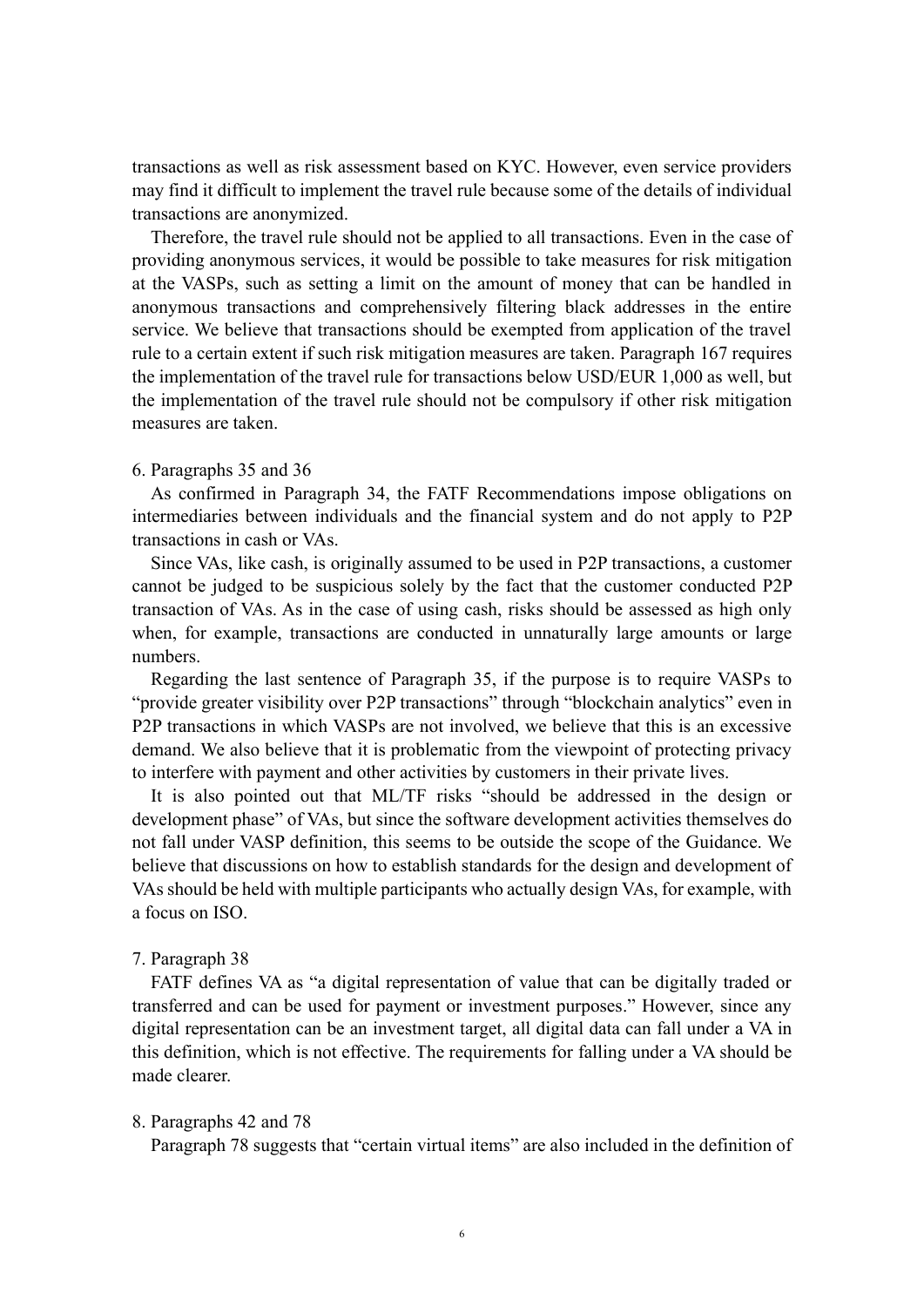transactions as well as risk assessment based on KYC. However, even service providers may find it difficult to implement the travel rule because some of the details of individual transactions are anonymized.

Therefore, the travel rule should not be applied to all transactions. Even in the case of providing anonymous services, it would be possible to take measures for risk mitigation at the VASPs, such as setting a limit on the amount of money that can be handled in anonymous transactions and comprehensively filtering black addresses in the entire service. We believe that transactions should be exempted from application of the travel rule to a certain extent if such risk mitigation measures are taken. Paragraph 167 requires the implementation of the travel rule for transactions below USD/EUR 1,000 as well, but the implementation of the travel rule should not be compulsory if other risk mitigation measures are taken.

#### 6. Paragraphs 35 and 36

As confirmed in Paragraph 34, the FATF Recommendations impose obligations on intermediaries between individuals and the financial system and do not apply to P2P transactions in cash or VAs.

Since VAs, like cash, is originally assumed to be used in P2P transactions, a customer cannot be judged to be suspicious solely by the fact that the customer conducted P2P transaction of VAs. As in the case of using cash, risks should be assessed as high only when, for example, transactions are conducted in unnaturally large amounts or large numbers.

Regarding the last sentence of Paragraph 35, if the purpose is to require VASPs to "provide greater visibility over P2P transactions" through "blockchain analytics" even in P2P transactions in which VASPs are not involved, we believe that this is an excessive demand. We also believe that it is problematic from the viewpoint of protecting privacy to interfere with payment and other activities by customers in their private lives.

It is also pointed out that ML/TF risks "should be addressed in the design or development phase" of VAs, but since the software development activities themselves do not fall under VASP definition, this seems to be outside the scope of the Guidance. We believe that discussions on how to establish standards for the design and development of VAs should be held with multiple participants who actually design VAs, for example, with a focus on ISO.

### 7. Paragraph 38

FATF defines VA as "a digital representation of value that can be digitally traded or transferred and can be used for payment or investment purposes." However, since any digital representation can be an investment target, all digital data can fall under a VA in this definition, which is not effective. The requirements for falling under a VA should be made clearer.

### 8. Paragraphs 42 and 78

Paragraph 78 suggests that "certain virtual items" are also included in the definition of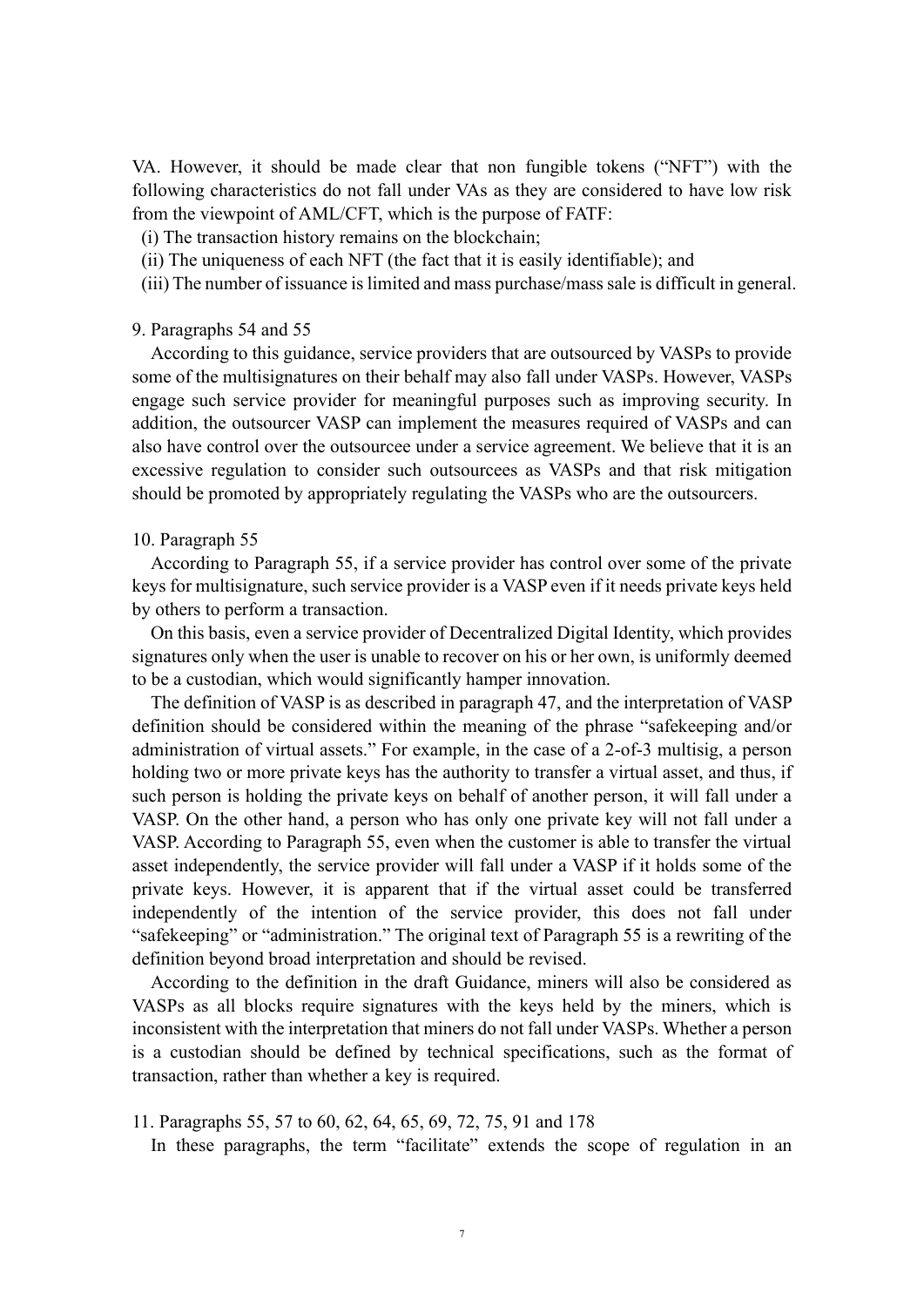VA. However, it should be made clear that non fungible tokens ("NFT") with the following characteristics do not fall under VAs as they are considered to have low risk from the viewpoint of AML/CFT, which is the purpose of FATF:

(i) The transaction history remains on the blockchain;

- (ii) The uniqueness of each NFT (the fact that it is easily identifiable); and
- (iii) The number of issuance is limited and mass purchase/mass sale is difficult in general.

### 9. Paragraphs 54 and 55

According to this guidance, service providers that are outsourced by VASPs to provide some of the multisignatures on their behalf may also fall under VASPs. However, VASPs engage such service provider for meaningful purposes such as improving security. In addition, the outsourcer VASP can implement the measures required of VASPs and can also have control over the outsourcee under a service agreement. We believe that it is an excessive regulation to consider such outsourcees as VASPs and that risk mitigation should be promoted by appropriately regulating the VASPs who are the outsourcers.

### 10. Paragraph 55

According to Paragraph 55, if a service provider has control over some of the private keys for multisignature, such service provider is a VASP even if it needs private keys held by others to perform a transaction.

On this basis, even a service provider of Decentralized Digital Identity, which provides signatures only when the user is unable to recover on his or her own, is uniformly deemed to be a custodian, which would significantly hamper innovation.

The definition of VASP is as described in paragraph 47, and the interpretation of VASP definition should be considered within the meaning of the phrase "safekeeping and/or administration of virtual assets." For example, in the case of a 2-of-3 multisig, a person holding two or more private keys has the authority to transfer a virtual asset, and thus, if such person is holding the private keys on behalf of another person, it will fall under a VASP. On the other hand, a person who has only one private key will not fall under a VASP. According to Paragraph 55, even when the customer is able to transfer the virtual asset independently, the service provider will fall under a VASP if it holds some of the private keys. However, it is apparent that if the virtual asset could be transferred independently of the intention of the service provider, this does not fall under "safekeeping" or "administration." The original text of Paragraph 55 is a rewriting of the definition beyond broad interpretation and should be revised.

According to the definition in the draft Guidance, miners will also be considered as VASPs as all blocks require signatures with the keys held by the miners, which is inconsistent with the interpretation that miners do not fall under VASPs. Whether a person is a custodian should be defined by technical specifications, such as the format of transaction, rather than whether a key is required.

11. Paragraphs 55, 57 to 60, 62, 64, 65, 69, 72, 75, 91 and 178

In these paragraphs, the term "facilitate" extends the scope of regulation in an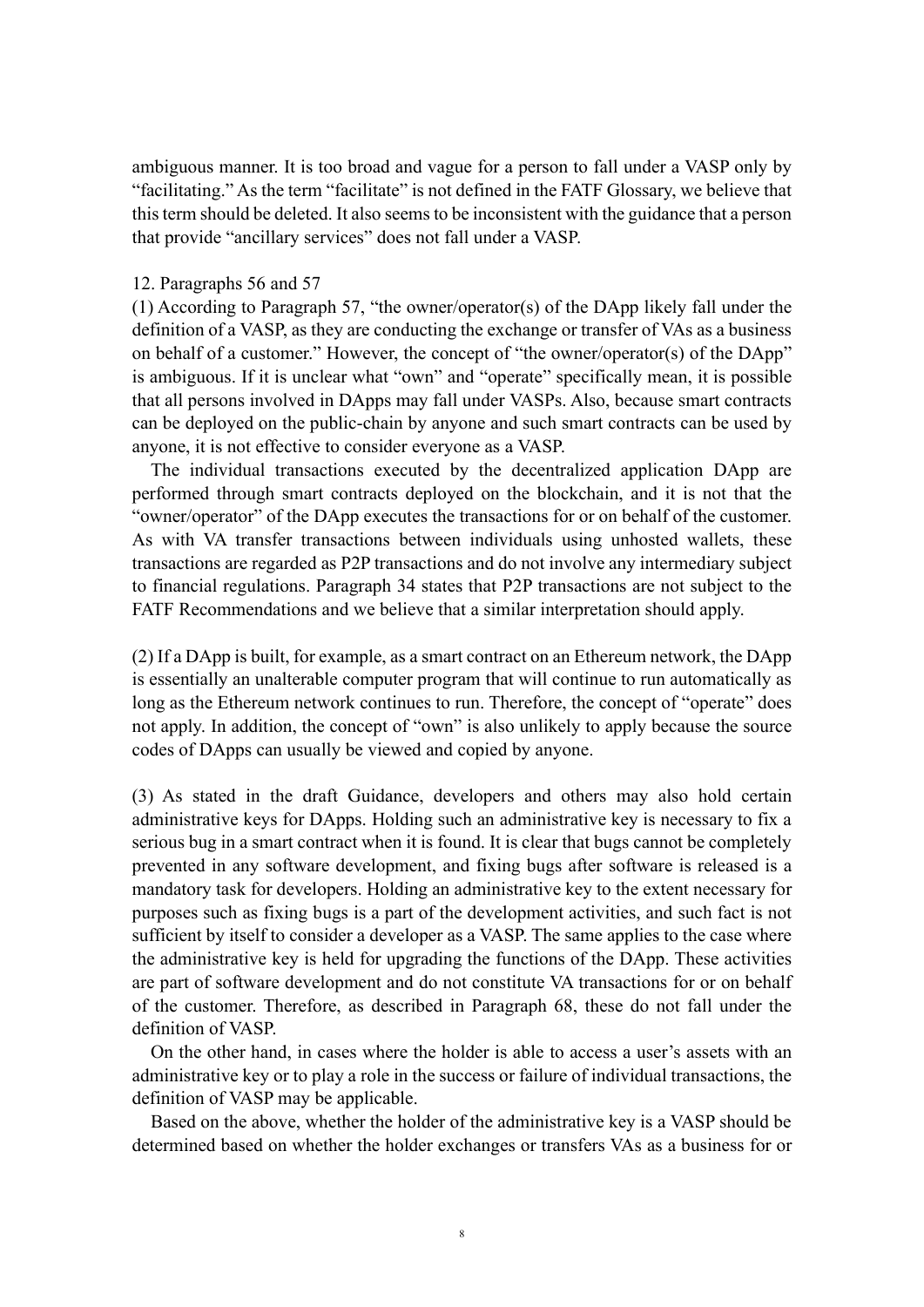ambiguous manner. It is too broad and vague for a person to fall under a VASP only by "facilitating." As the term "facilitate" is not defined in the FATF Glossary, we believe that this term should be deleted. It also seems to be inconsistent with the guidance that a person that provide "ancillary services" does not fall under a VASP.

### 12. Paragraphs 56 and 57

(1) According to Paragraph 57, "the owner/operator(s) of the DApp likely fall under the definition of a VASP, as they are conducting the exchange or transfer of VAs as a business on behalf of a customer." However, the concept of "the owner/operator(s) of the DApp" is ambiguous. If it is unclear what "own" and "operate" specifically mean, it is possible that all persons involved in DApps may fall under VASPs. Also, because smart contracts can be deployed on the public-chain by anyone and such smart contracts can be used by anyone, it is not effective to consider everyone as a VASP.

The individual transactions executed by the decentralized application DApp are performed through smart contracts deployed on the blockchain, and it is not that the "owner/operator" of the DApp executes the transactions for or on behalf of the customer. As with VA transfer transactions between individuals using unhosted wallets, these transactions are regarded as P2P transactions and do not involve any intermediary subject to financial regulations. Paragraph 34 states that P2P transactions are not subject to the FATF Recommendations and we believe that a similar interpretation should apply.

(2) If a DApp is built, for example, as a smart contract on an Ethereum network, the DApp is essentially an unalterable computer program that will continue to run automatically as long as the Ethereum network continues to run. Therefore, the concept of "operate" does not apply. In addition, the concept of "own" is also unlikely to apply because the source codes of DApps can usually be viewed and copied by anyone.

(3) As stated in the draft Guidance, developers and others may also hold certain administrative keys for DApps. Holding such an administrative key is necessary to fix a serious bug in a smart contract when it is found. It is clear that bugs cannot be completely prevented in any software development, and fixing bugs after software is released is a mandatory task for developers. Holding an administrative key to the extent necessary for purposes such as fixing bugs is a part of the development activities, and such fact is not sufficient by itself to consider a developer as a VASP. The same applies to the case where the administrative key is held for upgrading the functions of the DApp. These activities are part of software development and do not constitute VA transactions for or on behalf of the customer. Therefore, as described in Paragraph 68, these do not fall under the definition of VASP.

On the other hand, in cases where the holder is able to access a user's assets with an administrative key or to play a role in the success or failure of individual transactions, the definition of VASP may be applicable.

Based on the above, whether the holder of the administrative key is a VASP should be determined based on whether the holder exchanges or transfers VAs as a business for or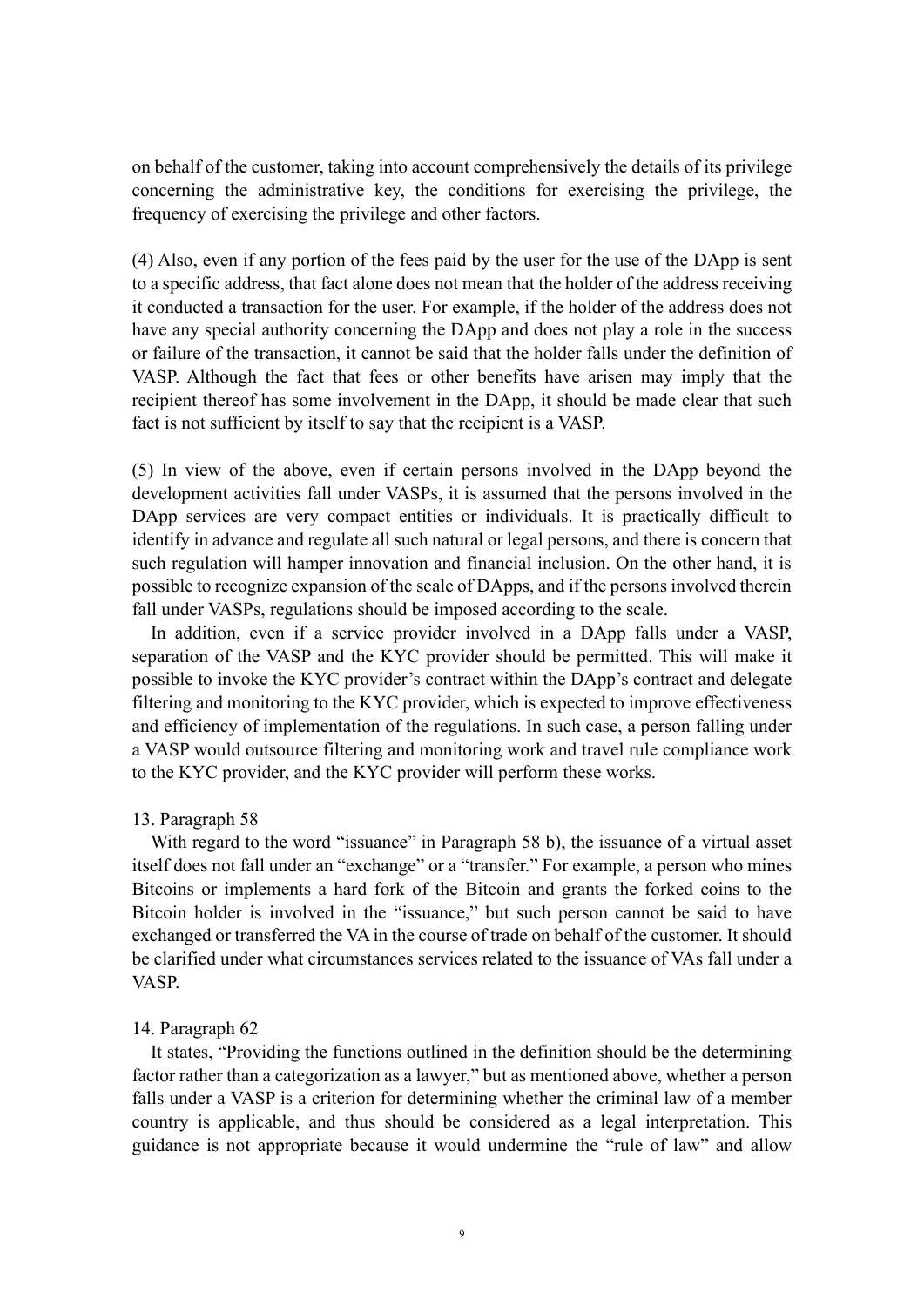on behalf of the customer, taking into account comprehensively the details of its privilege concerning the administrative key, the conditions for exercising the privilege, the frequency of exercising the privilege and other factors.

(4) Also, even if any portion of the fees paid by the user for the use of the DApp is sent to a specific address, that fact alone does not mean that the holder of the address receiving it conducted a transaction for the user. For example, if the holder of the address does not have any special authority concerning the DApp and does not play a role in the success or failure of the transaction, it cannot be said that the holder falls under the definition of VASP. Although the fact that fees or other benefits have arisen may imply that the recipient thereof has some involvement in the DApp, it should be made clear that such fact is not sufficient by itself to say that the recipient is a VASP.

(5) In view of the above, even if certain persons involved in the DApp beyond the development activities fall under VASPs, it is assumed that the persons involved in the DApp services are very compact entities or individuals. It is practically difficult to identify in advance and regulate all such natural or legal persons, and there is concern that such regulation will hamper innovation and financial inclusion. On the other hand, it is possible to recognize expansion of the scale of DApps, and if the persons involved therein fall under VASPs, regulations should be imposed according to the scale.

In addition, even if a service provider involved in a DApp falls under a VASP, separation of the VASP and the KYC provider should be permitted. This will make it possible to invoke the KYC provider's contract within the DApp's contract and delegate filtering and monitoring to the KYC provider, which is expected to improve effectiveness and efficiency of implementation of the regulations. In such case, a person falling under a VASP would outsource filtering and monitoring work and travel rule compliance work to the KYC provider, and the KYC provider will perform these works.

### 13. Paragraph 58

With regard to the word "issuance" in Paragraph 58 b), the issuance of a virtual asset itself does not fall under an "exchange" or a "transfer." For example, a person who mines Bitcoins or implements a hard fork of the Bitcoin and grants the forked coins to the Bitcoin holder is involved in the "issuance," but such person cannot be said to have exchanged or transferred the VA in the course of trade on behalf of the customer. It should be clarified under what circumstances services related to the issuance of VAs fall under a VASP.

### 14. Paragraph 62

It states, "Providing the functions outlined in the definition should be the determining factor rather than a categorization as a lawyer," but as mentioned above, whether a person falls under a VASP is a criterion for determining whether the criminal law of a member country is applicable, and thus should be considered as a legal interpretation. This guidance is not appropriate because it would undermine the "rule of law" and allow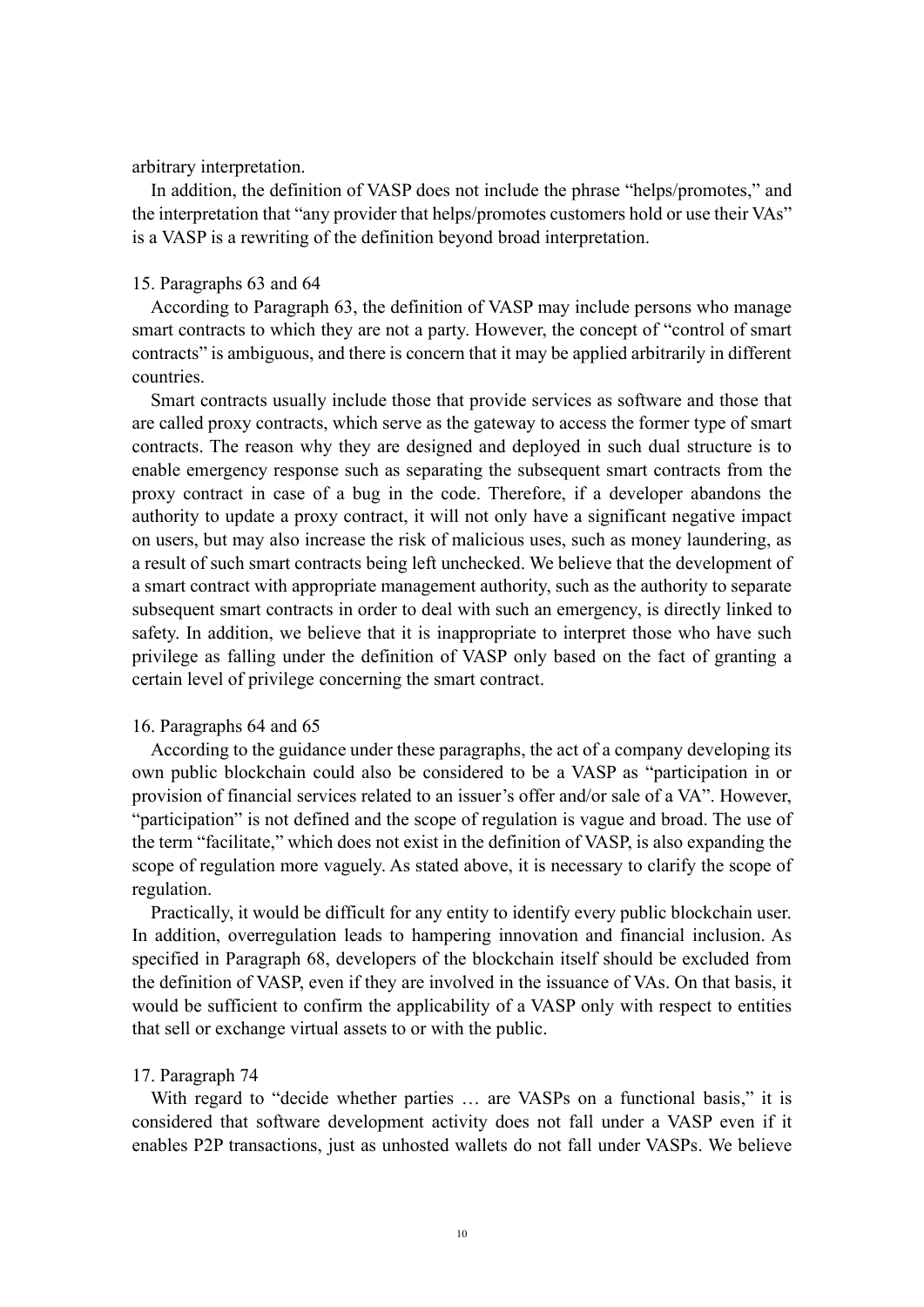arbitrary interpretation.

In addition, the definition of VASP does not include the phrase "helps/promotes," and the interpretation that "any provider that helps/promotes customers hold or use their VAs" is a VASP is a rewriting of the definition beyond broad interpretation.

### 15. Paragraphs 63 and 64

According to Paragraph 63, the definition of VASP may include persons who manage smart contracts to which they are not a party. However, the concept of "control of smart contracts" is ambiguous, and there is concern that it may be applied arbitrarily in different countries.

Smart contracts usually include those that provide services as software and those that are called proxy contracts, which serve as the gateway to access the former type of smart contracts. The reason why they are designed and deployed in such dual structure is to enable emergency response such as separating the subsequent smart contracts from the proxy contract in case of a bug in the code. Therefore, if a developer abandons the authority to update a proxy contract, it will not only have a significant negative impact on users, but may also increase the risk of malicious uses, such as money laundering, as a result of such smart contracts being left unchecked. We believe that the development of a smart contract with appropriate management authority, such as the authority to separate subsequent smart contracts in order to deal with such an emergency, is directly linked to safety. In addition, we believe that it is inappropriate to interpret those who have such privilege as falling under the definition of VASP only based on the fact of granting a certain level of privilege concerning the smart contract.

### 16. Paragraphs 64 and 65

According to the guidance under these paragraphs, the act of a company developing its own public blockchain could also be considered to be a VASP as "participation in or provision of financial services related to an issuer's offer and/or sale of a VA". However, "participation" is not defined and the scope of regulation is vague and broad. The use of the term "facilitate," which does not exist in the definition of VASP, is also expanding the scope of regulation more vaguely. As stated above, it is necessary to clarify the scope of regulation.

Practically, it would be difficult for any entity to identify every public blockchain user. In addition, overregulation leads to hampering innovation and financial inclusion. As specified in Paragraph 68, developers of the blockchain itself should be excluded from the definition of VASP, even if they are involved in the issuance of VAs. On that basis, it would be sufficient to confirm the applicability of a VASP only with respect to entities that sell or exchange virtual assets to or with the public.

#### 17. Paragraph 74

With regard to "decide whether parties … are VASPs on a functional basis," it is considered that software development activity does not fall under a VASP even if it enables P2P transactions, just as unhosted wallets do not fall under VASPs. We believe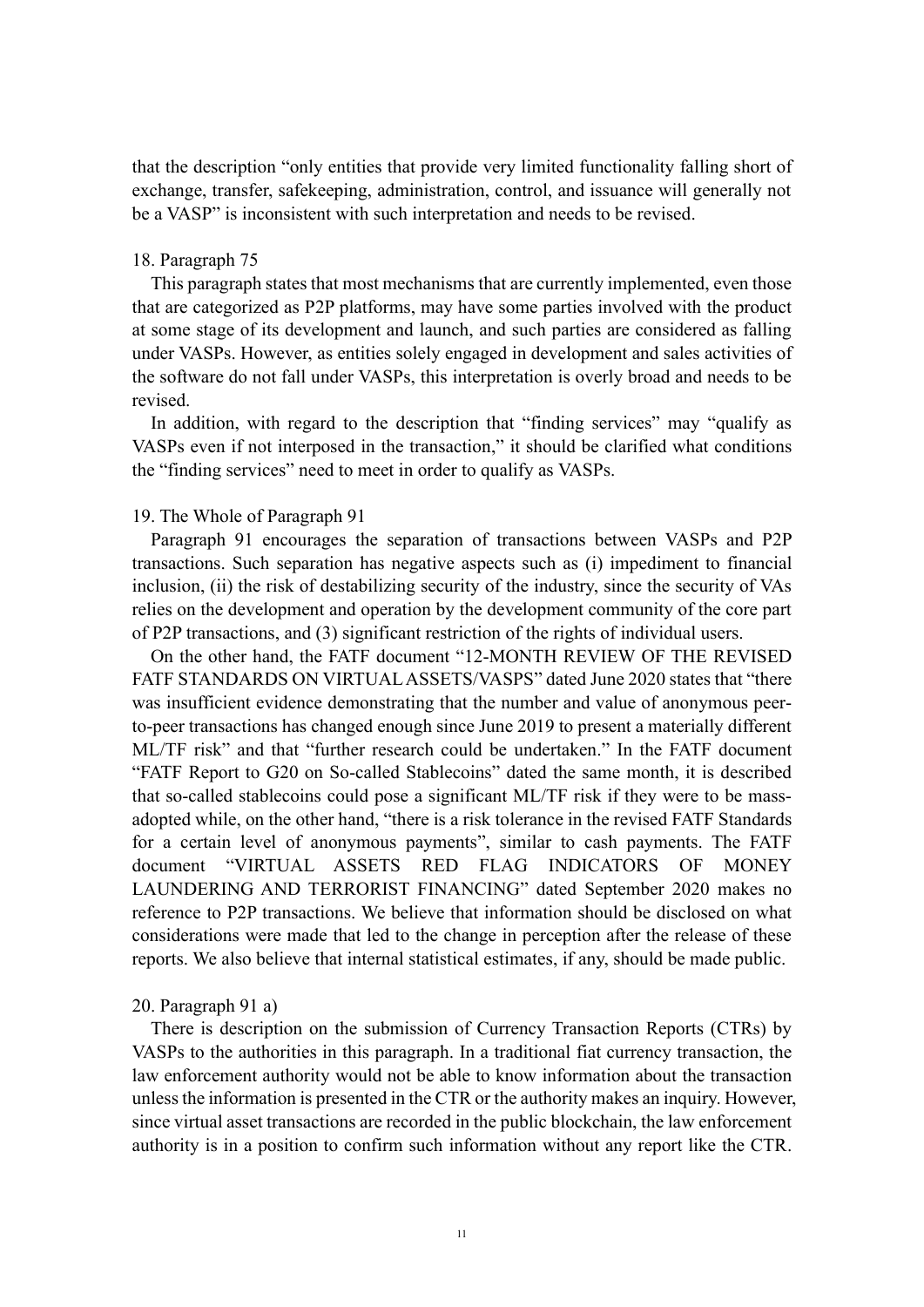that the description "only entities that provide very limited functionality falling short of exchange, transfer, safekeeping, administration, control, and issuance will generally not be a VASP" is inconsistent with such interpretation and needs to be revised.

### 18. Paragraph 75

This paragraph states that most mechanisms that are currently implemented, even those that are categorized as P2P platforms, may have some parties involved with the product at some stage of its development and launch, and such parties are considered as falling under VASPs. However, as entities solely engaged in development and sales activities of the software do not fall under VASPs, this interpretation is overly broad and needs to be revised.

In addition, with regard to the description that "finding services" may "qualify as VASPs even if not interposed in the transaction," it should be clarified what conditions the "finding services" need to meet in order to qualify as VASPs.

## 19. The Whole of Paragraph 91

Paragraph 91 encourages the separation of transactions between VASPs and P2P transactions. Such separation has negative aspects such as (i) impediment to financial inclusion, (ii) the risk of destabilizing security of the industry, since the security of VAs relies on the development and operation by the development community of the core part of P2P transactions, and (3) significant restriction of the rights of individual users.

On the other hand, the FATF document "12-MONTH REVIEW OF THE REVISED FATF STANDARDS ON VIRTUAL ASSETS/VASPS" dated June 2020 states that "there was insufficient evidence demonstrating that the number and value of anonymous peerto-peer transactions has changed enough since June 2019 to present a materially different ML/TF risk" and that "further research could be undertaken." In the FATF document "FATF Report to G20 on So-called Stablecoins" dated the same month, it is described that so-called stablecoins could pose a significant ML/TF risk if they were to be massadopted while, on the other hand, "there is a risk tolerance in the revised FATF Standards for a certain level of anonymous payments", similar to cash payments. The FATF document "VIRTUAL ASSETS RED FLAG INDICATORS OF MONEY LAUNDERING AND TERRORIST FINANCING" dated September 2020 makes no reference to P2P transactions. We believe that information should be disclosed on what considerations were made that led to the change in perception after the release of these reports. We also believe that internal statistical estimates, if any, should be made public.

20. Paragraph 91 a)

There is description on the submission of Currency Transaction Reports (CTRs) by VASPs to the authorities in this paragraph. In a traditional fiat currency transaction, the law enforcement authority would not be able to know information about the transaction unless the information is presented in the CTR or the authority makes an inquiry. However, since virtual asset transactions are recorded in the public blockchain, the law enforcement authority is in a position to confirm such information without any report like the CTR.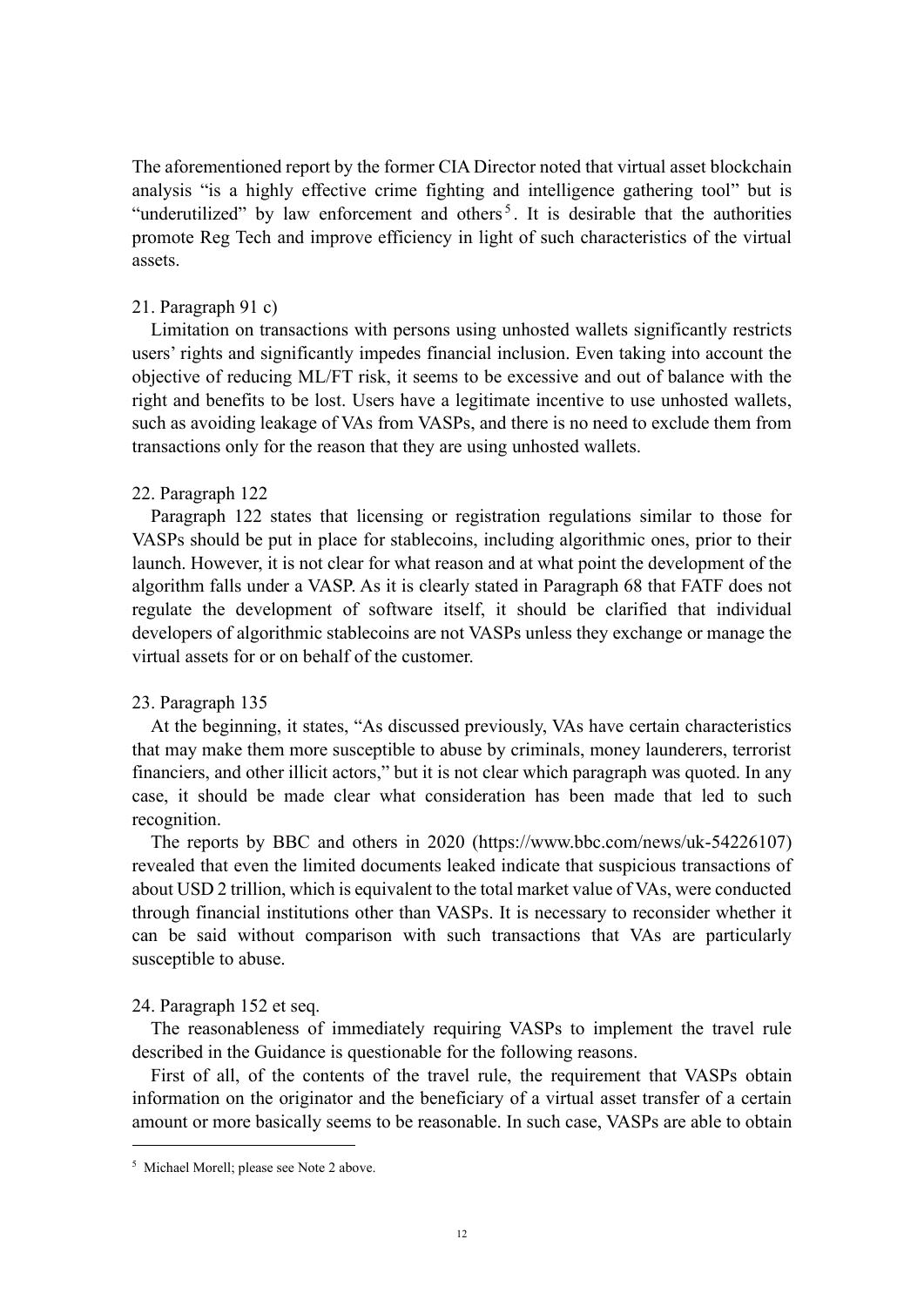The aforementioned report by the former CIA Director noted that virtual asset blockchain analysis "is a highly effective crime fighting and intelligence gathering tool" but is "underutilized" by law enforcement and others<sup>5</sup>. It is desirable that the authorities promote Reg Tech and improve efficiency in light of such characteristics of the virtual assets.

### 21. Paragraph 91 c)

Limitation on transactions with persons using unhosted wallets significantly restricts users' rights and significantly impedes financial inclusion. Even taking into account the objective of reducing ML/FT risk, it seems to be excessive and out of balance with the right and benefits to be lost. Users have a legitimate incentive to use unhosted wallets, such as avoiding leakage of VAs from VASPs, and there is no need to exclude them from transactions only for the reason that they are using unhosted wallets.

### 22. Paragraph 122

Paragraph 122 states that licensing or registration regulations similar to those for VASPs should be put in place for stablecoins, including algorithmic ones, prior to their launch. However, it is not clear for what reason and at what point the development of the algorithm falls under a VASP. As it is clearly stated in Paragraph 68 that FATF does not regulate the development of software itself, it should be clarified that individual developers of algorithmic stablecoins are not VASPs unless they exchange or manage the virtual assets for or on behalf of the customer.

### 23. Paragraph 135

At the beginning, it states, "As discussed previously, VAs have certain characteristics that may make them more susceptible to abuse by criminals, money launderers, terrorist financiers, and other illicit actors," but it is not clear which paragraph was quoted. In any case, it should be made clear what consideration has been made that led to such recognition.

The reports by BBC and others in 2020 (https://www.bbc.com/news/uk-54226107) revealed that even the limited documents leaked indicate that suspicious transactions of about USD 2 trillion, which is equivalent to the total market value of VAs, were conducted through financial institutions other than VASPs. It is necessary to reconsider whether it can be said without comparison with such transactions that VAs are particularly susceptible to abuse.

#### 24. Paragraph 152 et seq.

The reasonableness of immediately requiring VASPs to implement the travel rule described in the Guidance is questionable for the following reasons.

First of all, of the contents of the travel rule, the requirement that VASPs obtain information on the originator and the beneficiary of a virtual asset transfer of a certain amount or more basically seems to be reasonable. In such case, VASPs are able to obtain

<sup>5</sup> Michael Morell; please see Note 2 above.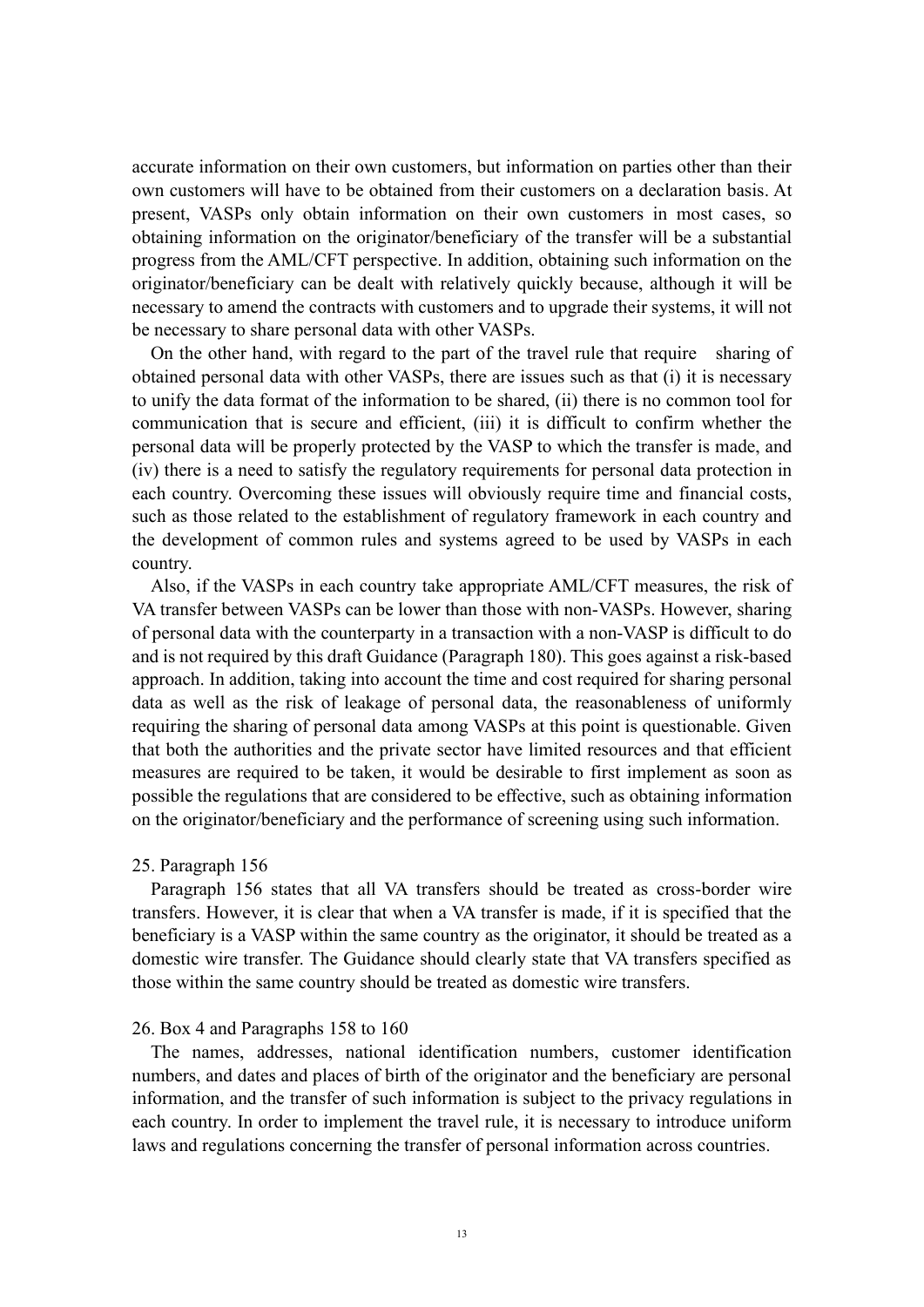accurate information on their own customers, but information on parties other than their own customers will have to be obtained from their customers on a declaration basis. At present, VASPs only obtain information on their own customers in most cases, so obtaining information on the originator/beneficiary of the transfer will be a substantial progress from the AML/CFT perspective. In addition, obtaining such information on the originator/beneficiary can be dealt with relatively quickly because, although it will be necessary to amend the contracts with customers and to upgrade their systems, it will not be necessary to share personal data with other VASPs.

On the other hand, with regard to the part of the travel rule that require sharing of obtained personal data with other VASPs, there are issues such as that (i) it is necessary to unify the data format of the information to be shared, (ii) there is no common tool for communication that is secure and efficient, (iii) it is difficult to confirm whether the personal data will be properly protected by the VASP to which the transfer is made, and (iv) there is a need to satisfy the regulatory requirements for personal data protection in each country. Overcoming these issues will obviously require time and financial costs, such as those related to the establishment of regulatory framework in each country and the development of common rules and systems agreed to be used by VASPs in each country.

Also, if the VASPs in each country take appropriate AML/CFT measures, the risk of VA transfer between VASPs can be lower than those with non-VASPs. However, sharing of personal data with the counterparty in a transaction with a non-VASP is difficult to do and is not required by this draft Guidance (Paragraph 180). This goes against a risk-based approach. In addition, taking into account the time and cost required for sharing personal data as well as the risk of leakage of personal data, the reasonableness of uniformly requiring the sharing of personal data among VASPs at this point is questionable. Given that both the authorities and the private sector have limited resources and that efficient measures are required to be taken, it would be desirable to first implement as soon as possible the regulations that are considered to be effective, such as obtaining information on the originator/beneficiary and the performance of screening using such information.

#### 25. Paragraph 156

Paragraph 156 states that all VA transfers should be treated as cross-border wire transfers. However, it is clear that when a VA transfer is made, if it is specified that the beneficiary is a VASP within the same country as the originator, it should be treated as a domestic wire transfer. The Guidance should clearly state that VA transfers specified as those within the same country should be treated as domestic wire transfers.

#### 26. Box 4 and Paragraphs 158 to 160

The names, addresses, national identification numbers, customer identification numbers, and dates and places of birth of the originator and the beneficiary are personal information, and the transfer of such information is subject to the privacy regulations in each country. In order to implement the travel rule, it is necessary to introduce uniform laws and regulations concerning the transfer of personal information across countries.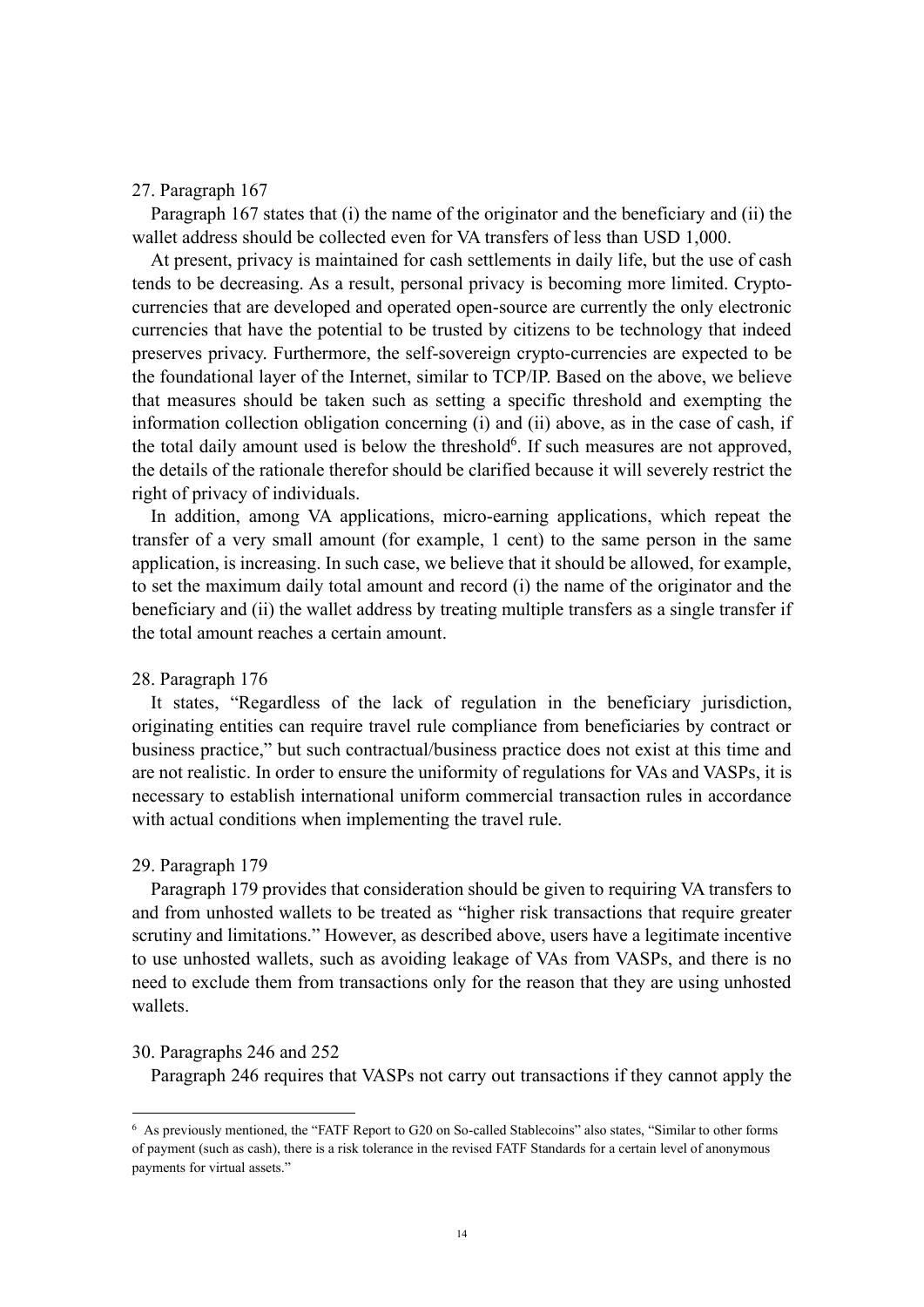#### 27. Paragraph 167

Paragraph 167 states that (i) the name of the originator and the beneficiary and (ii) the wallet address should be collected even for VA transfers of less than USD 1,000.

At present, privacy is maintained for cash settlements in daily life, but the use of cash tends to be decreasing. As a result, personal privacy is becoming more limited. Cryptocurrencies that are developed and operated open-source are currently the only electronic currencies that have the potential to be trusted by citizens to be technology that indeed preserves privacy. Furthermore, the self-sovereign crypto-currencies are expected to be the foundational layer of the Internet, similar to TCP/IP. Based on the above, we believe that measures should be taken such as setting a specific threshold and exempting the information collection obligation concerning (i) and (ii) above, as in the case of cash, if the total daily amount used is below the threshold<sup>6</sup>. If such measures are not approved, the details of the rationale therefor should be clarified because it will severely restrict the right of privacy of individuals.

In addition, among VA applications, micro-earning applications, which repeat the transfer of a very small amount (for example, 1 cent) to the same person in the same application, is increasing. In such case, we believe that it should be allowed, for example, to set the maximum daily total amount and record (i) the name of the originator and the beneficiary and (ii) the wallet address by treating multiple transfers as a single transfer if the total amount reaches a certain amount.

### 28. Paragraph 176

It states, "Regardless of the lack of regulation in the beneficiary jurisdiction, originating entities can require travel rule compliance from beneficiaries by contract or business practice," but such contractual/business practice does not exist at this time and are not realistic. In order to ensure the uniformity of regulations for VAs and VASPs, it is necessary to establish international uniform commercial transaction rules in accordance with actual conditions when implementing the travel rule.

### 29. Paragraph 179

Paragraph 179 provides that consideration should be given to requiring VA transfers to and from unhosted wallets to be treated as "higher risk transactions that require greater scrutiny and limitations." However, as described above, users have a legitimate incentive to use unhosted wallets, such as avoiding leakage of VAs from VASPs, and there is no need to exclude them from transactions only for the reason that they are using unhosted wallets.

# 30. Paragraphs 246 and 252

Paragraph 246 requires that VASPs not carry out transactions if they cannot apply the

<sup>6</sup> As previously mentioned, the "FATF Report to G20 on So-called Stablecoins" also states, "Similar to other forms of payment (such as cash), there is a risk tolerance in the revised FATF Standards for a certain level of anonymous payments for virtual assets."